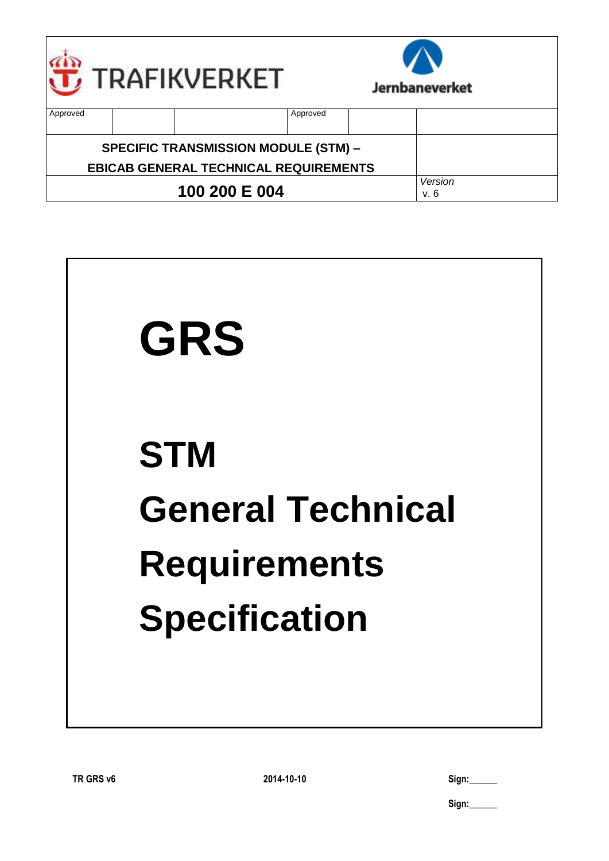| $\vec{r}$ , TRAFIKVERKET                                                                    |  |  |          | <b>Jernbaneverket</b> |  |
|---------------------------------------------------------------------------------------------|--|--|----------|-----------------------|--|
| Approved                                                                                    |  |  | Approved |                       |  |
| <b>SPECIFIC TRANSMISSION MODULE (STM) -</b><br><b>EBICAB GENERAL TECHNICAL REQUIREMENTS</b> |  |  |          |                       |  |
| Version<br>100 200 E 004<br>v. 6                                                            |  |  |          |                       |  |



**TR GRS v6 2014-10-10 Sign:\_\_\_\_\_\_**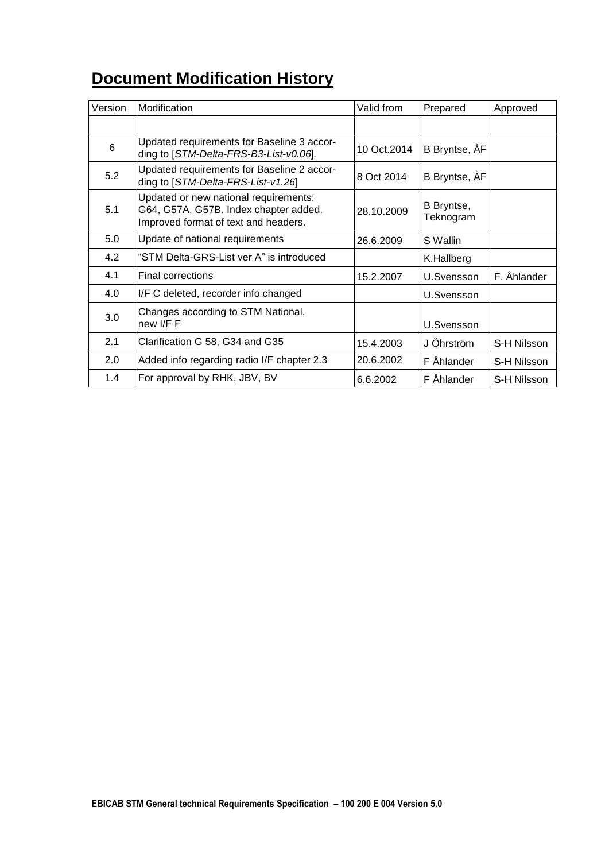# **Document Modification History**

| Version | Modification                                                                                                           | Valid from  | Prepared                | Approved    |
|---------|------------------------------------------------------------------------------------------------------------------------|-------------|-------------------------|-------------|
|         |                                                                                                                        |             |                         |             |
| 6       | Updated requirements for Baseline 3 accor-<br>ding to [STM-Delta-FRS-B3-List-v0.06].                                   | 10 Oct.2014 | B Bryntse, ÅF           |             |
| 5.2     | Updated requirements for Baseline 2 accor-<br>ding to [STM-Delta-FRS-List-v1.26]                                       | 8 Oct 2014  | B Bryntse, ÅF           |             |
| 5.1     | Updated or new national requirements:<br>G64, G57A, G57B. Index chapter added.<br>Improved format of text and headers. | 28.10.2009  | B Bryntse,<br>Teknogram |             |
| 5.0     | Update of national requirements                                                                                        | 26.6.2009   | S Wallin                |             |
| 4.2     | "STM Delta-GRS-List ver A" is introduced                                                                               |             | K.Hallberg              |             |
| 4.1     | <b>Final corrections</b>                                                                                               | 15.2.2007   | U.Svensson              | F. Åhlander |
| 4.0     | I/F C deleted, recorder info changed                                                                                   |             | U.Svensson              |             |
| 3.0     | Changes according to STM National,<br>new I/F F                                                                        |             | U.Svensson              |             |
| 2.1     | Clarification G 58, G34 and G35                                                                                        | 15.4.2003   | J Öhrström              | S-H Nilsson |
| 2.0     | Added info regarding radio I/F chapter 2.3                                                                             | 20.6.2002   | F Åhlander              | S-H Nilsson |
| 1.4     | For approval by RHK, JBV, BV                                                                                           | 6.6.2002    | F Åhlander              | S-H Nilsson |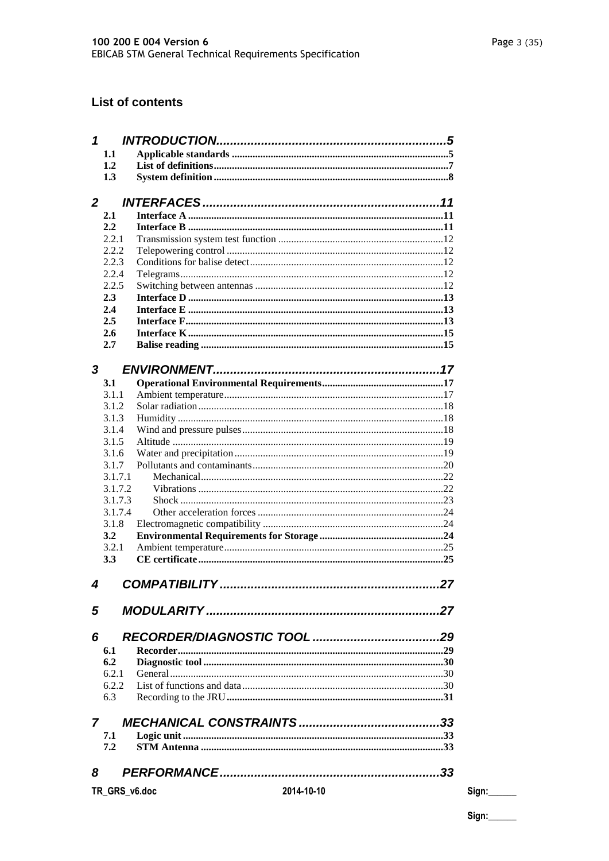# **List of contents**

| 1              |               |                       |    |
|----------------|---------------|-----------------------|----|
|                | 1.1           |                       |    |
|                | 1.2           |                       |    |
|                | 1.3           |                       |    |
|                |               |                       |    |
| $\overline{2}$ |               |                       |    |
|                | 2.1           |                       |    |
|                | 2.2           |                       |    |
|                | 2.2.1         |                       |    |
|                | 2.2.2         |                       |    |
|                | 2.2.3         |                       |    |
|                | 2.2.4         |                       |    |
|                | 2.2.5         |                       |    |
|                | 2.3           |                       |    |
|                | 2.4           |                       |    |
|                | 2.5           |                       |    |
|                | 2.6           |                       |    |
|                | 2.7           |                       |    |
|                |               |                       |    |
| 3              |               |                       |    |
|                | 3.1           |                       |    |
|                | 3.1.1         |                       |    |
|                | 3.1.2         |                       |    |
|                | 3.1.3         |                       |    |
|                | 3.1.4         |                       |    |
|                | 3.1.5         |                       |    |
|                | 3.1.6         |                       |    |
|                | 3.1.7         |                       |    |
|                | 3.1.7.1       |                       |    |
|                | 3.1.7.2       |                       |    |
|                | 3.1.7.3       |                       |    |
|                | 3.1.7.4       |                       |    |
|                | 3.1.8         |                       |    |
|                | 3.2           |                       |    |
|                | 3.2.1         |                       |    |
|                | 3.3           |                       |    |
|                |               |                       |    |
| 4              |               | <b>COMPATIBILITY.</b> | 27 |
|                |               |                       |    |
| 5              |               |                       |    |
|                |               |                       |    |
| 6              |               |                       |    |
|                | 6.1           |                       |    |
|                | 6.2           |                       |    |
|                | 6.2.1         |                       |    |
|                | 6.2.2         |                       |    |
|                | 6.3           |                       |    |
|                |               |                       |    |
| $\overline{7}$ |               |                       |    |
|                |               |                       |    |
|                | 7.1           |                       |    |
|                | 7.2           |                       |    |
|                |               |                       |    |
| 8              |               |                       |    |
|                | TR_GRS_v6.doc | 2014-10-10            |    |
|                |               |                       |    |

Sign:

Sign: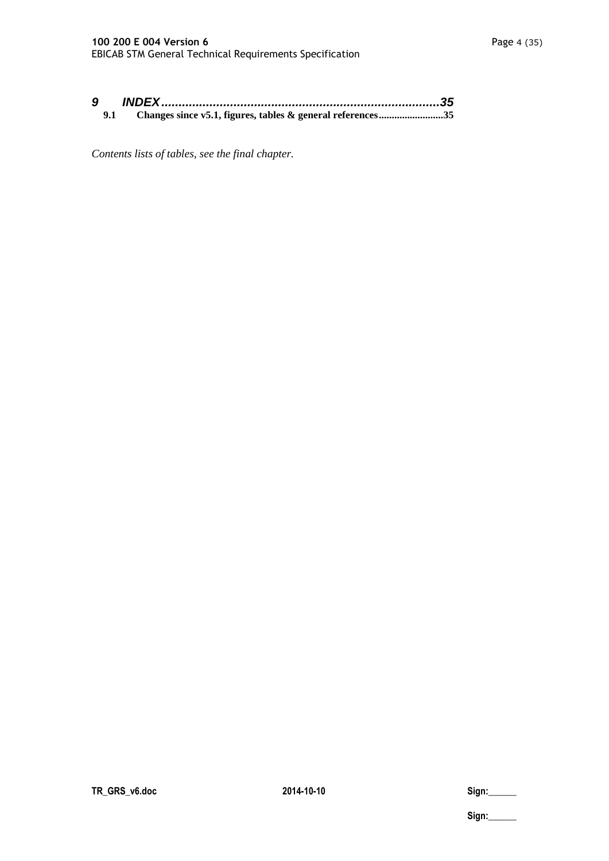| 9   |  |
|-----|--|
| 9.1 |  |

*Contents lists of tables, see the final chapter.*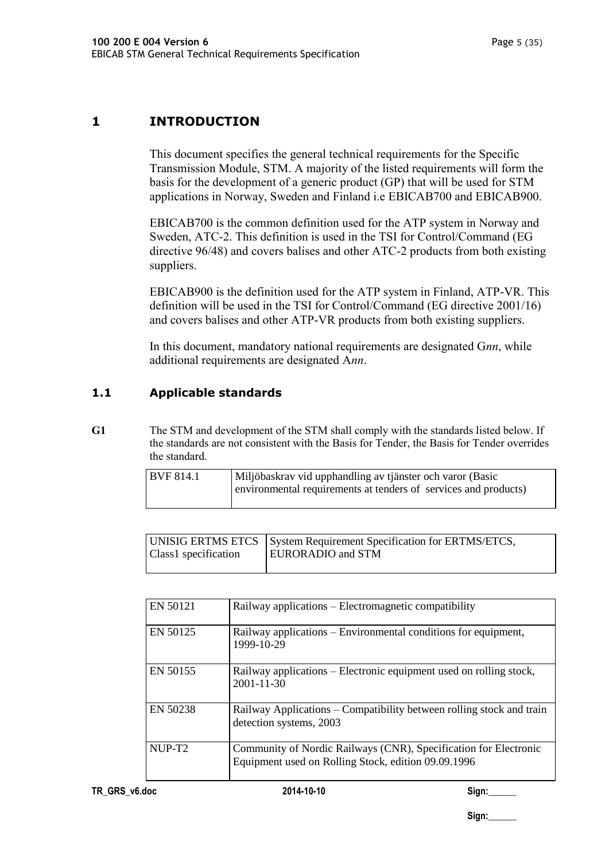# **1 INTRODUCTION**

This document specifies the general technical requirements for the Specific Transmission Module, STM. A majority of the listed requirements will form the basis for the development of a generic product (GP) that will be used for STM applications in Norway, Sweden and Finland i.e EBICAB700 and EBICAB900.

EBICAB700 is the common definition used for the ATP system in Norway and Sweden, ATC-2. This definition is used in the TSI for Control/Command (EG directive 96/48) and covers balises and other ATC-2 products from both existing suppliers.

EBICAB900 is the definition used for the ATP system in Finland, ATP-VR. This definition will be used in the TSI for Control/Command (EG directive 2001/16) and covers balises and other ATP-VR products from both existing suppliers.

In this document, mandatory national requirements are designated G*nn*, while additional requirements are designated A*nn*.

# **1.1 Applicable standards**

**G1** The STM and development of the STM shall comply with the standards listed below. If the standards are not consistent with the Basis for Tender, the Basis for Tender overrides the standard.

| BVF 814.1 | Miljöbaskrav vid upphandling av tjänster och varor (Basic<br>environmental requirements at tenders of services and products) |
|-----------|------------------------------------------------------------------------------------------------------------------------------|
|           |                                                                                                                              |

|                      | UNISIG ERTMS ETCS System Requirement Specification for ERTMS/ETCS, |
|----------------------|--------------------------------------------------------------------|
| Class1 specification | <b>EURORADIO</b> and STM                                           |
|                      |                                                                    |

| TR GRS v6.doc |                    | 2014-10-10                                                                                                              | Sign: |
|---------------|--------------------|-------------------------------------------------------------------------------------------------------------------------|-------|
|               | NUP-T <sub>2</sub> | Community of Nordic Railways (CNR), Specification for Electronic<br>Equipment used on Rolling Stock, edition 09.09.1996 |       |
|               | EN 50238           | Railway Applications – Compatibility between rolling stock and train<br>detection systems, 2003                         |       |
|               | EN 50155           | Railway applications - Electronic equipment used on rolling stock,<br>2001-11-30                                        |       |
|               | EN 50125           | Railway applications – Environmental conditions for equipment,<br>1999-10-29                                            |       |
|               | EN 50121           | Railway applications – Electromagnetic compatibility                                                                    |       |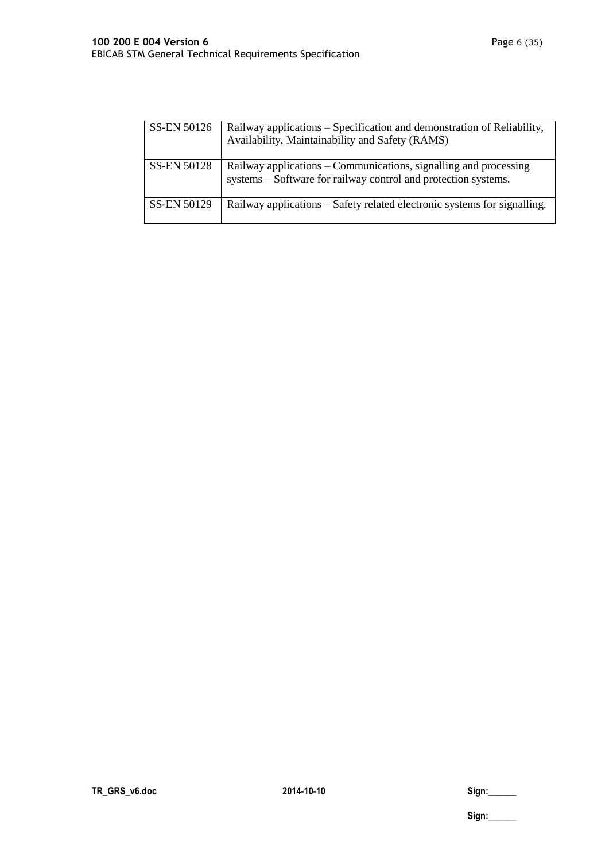| <b>SS-EN 50126</b> | Railway applications - Specification and demonstration of Reliability,<br>Availability, Maintainability and Safety (RAMS)          |
|--------------------|------------------------------------------------------------------------------------------------------------------------------------|
| <b>SS-EN 50128</b> | Railway applications – Communications, signalling and processing<br>systems – Software for railway control and protection systems. |
| SS-EN 50129        | Railway applications – Safety related electronic systems for signalling.                                                           |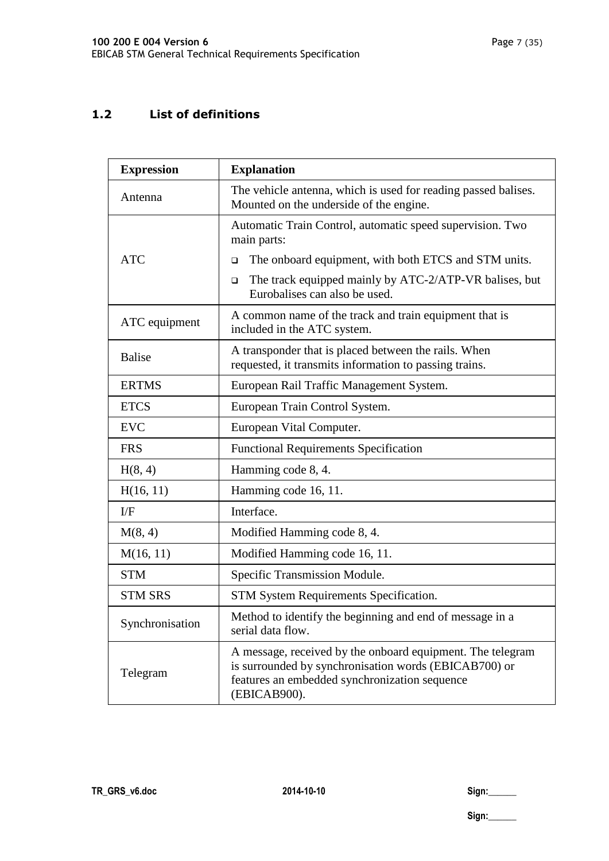# **1.2 List of definitions**

| <b>Expression</b> | <b>Explanation</b>                                                                                                                                                                   |
|-------------------|--------------------------------------------------------------------------------------------------------------------------------------------------------------------------------------|
| Antenna           | The vehicle antenna, which is used for reading passed balises.<br>Mounted on the underside of the engine.                                                                            |
|                   | Automatic Train Control, automatic speed supervision. Two<br>main parts:                                                                                                             |
| <b>ATC</b>        | The onboard equipment, with both ETCS and STM units.<br>□                                                                                                                            |
|                   | The track equipped mainly by ATC-2/ATP-VR balises, but<br>$\Box$<br>Eurobalises can also be used.                                                                                    |
| ATC equipment     | A common name of the track and train equipment that is<br>included in the ATC system.                                                                                                |
| <b>Balise</b>     | A transponder that is placed between the rails. When<br>requested, it transmits information to passing trains.                                                                       |
| <b>ERTMS</b>      | European Rail Traffic Management System.                                                                                                                                             |
| <b>ETCS</b>       | European Train Control System.                                                                                                                                                       |
| <b>EVC</b>        | European Vital Computer.                                                                                                                                                             |
| <b>FRS</b>        | <b>Functional Requirements Specification</b>                                                                                                                                         |
| H(8, 4)           | Hamming code 8, 4.                                                                                                                                                                   |
| H(16, 11)         | Hamming code 16, 11.                                                                                                                                                                 |
| $\Gamma$          | Interface.                                                                                                                                                                           |
| M(8, 4)           | Modified Hamming code 8, 4.                                                                                                                                                          |
| M(16, 11)         | Modified Hamming code 16, 11.                                                                                                                                                        |
| <b>STM</b>        | Specific Transmission Module.                                                                                                                                                        |
| <b>STM SRS</b>    | STM System Requirements Specification.                                                                                                                                               |
| Synchronisation   | Method to identify the beginning and end of message in a<br>serial data flow.                                                                                                        |
| Telegram          | A message, received by the onboard equipment. The telegram<br>is surrounded by synchronisation words (EBICAB700) or<br>features an embedded synchronization sequence<br>(EBICAB900). |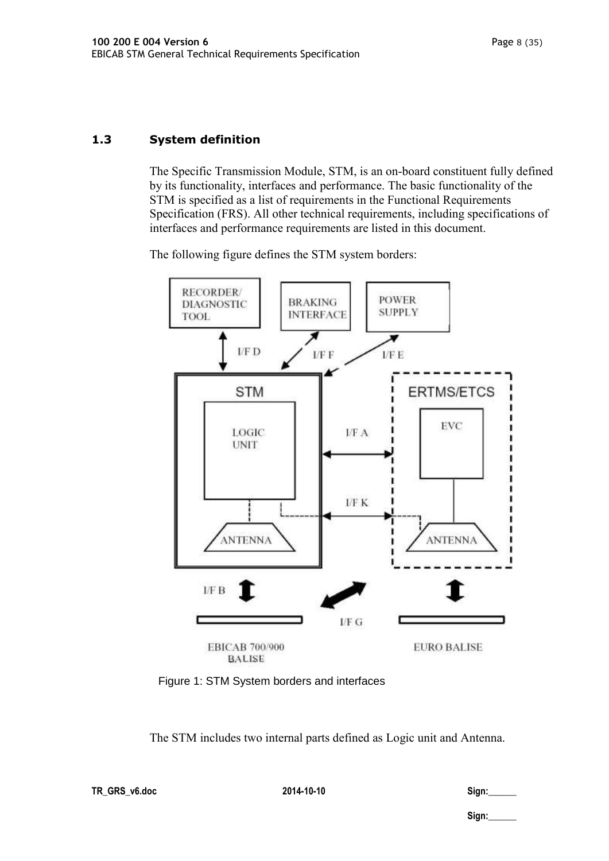# **1.3 System definition**

The Specific Transmission Module, STM, is an on-board constituent fully defined by its functionality, interfaces and performance. The basic functionality of the STM is specified as a list of requirements in the Functional Requirements Specification (FRS). All other technical requirements, including specifications of interfaces and performance requirements are listed in this document.

The following figure defines the STM system borders:



Figure 1: STM System borders and interfaces

The STM includes two internal parts defined as Logic unit and Antenna.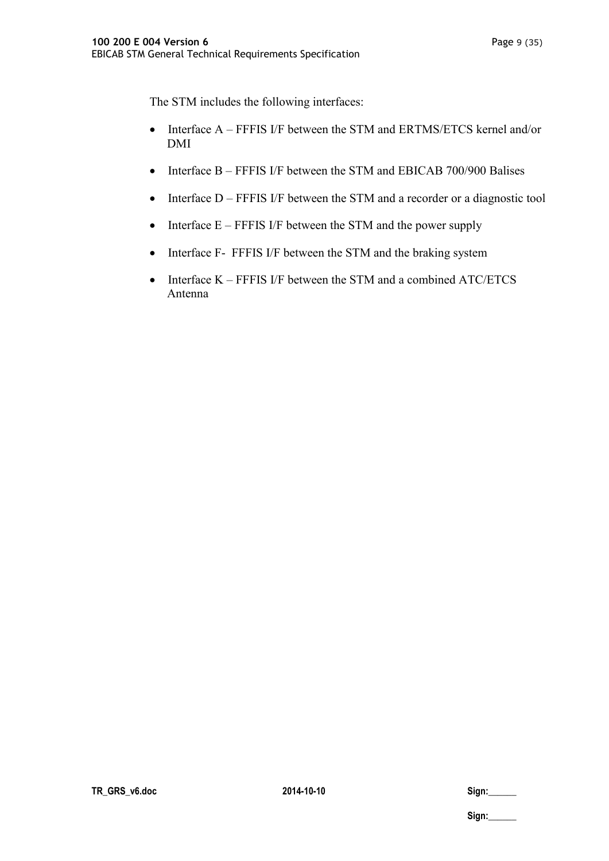The STM includes the following interfaces:

- Interface A FFFIS I/F between the STM and ERTMS/ETCS kernel and/or DMI
- Interface  $B FFFIS$  I/F between the STM and EBICAB 700/900 Balises
- Interface D FFFIS I/F between the STM and a recorder or a diagnostic tool
- Interface  $E FFFIS$  I/F between the STM and the power supply
- Interface F- FFFIS I/F between the STM and the braking system
- $\bullet$  Interface K FFFIS I/F between the STM and a combined ATC/ETCS Antenna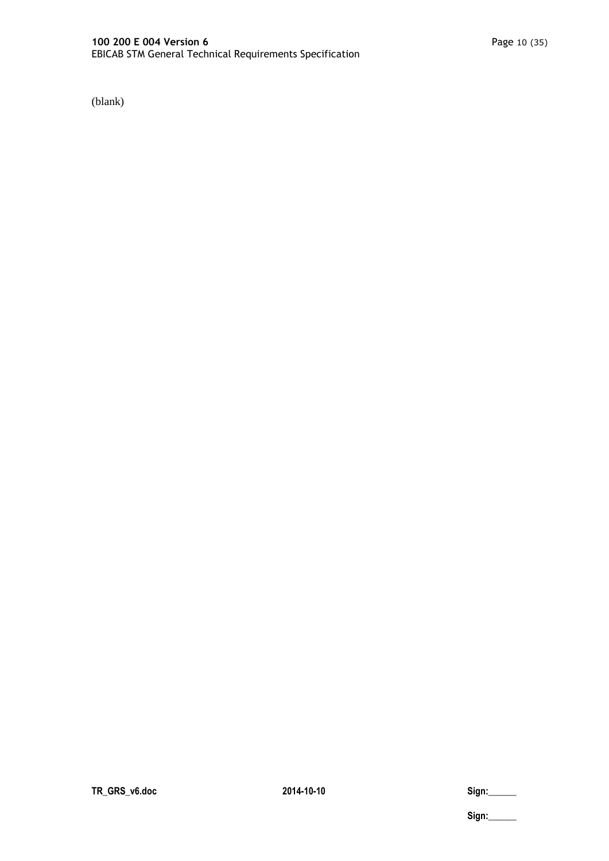(blank)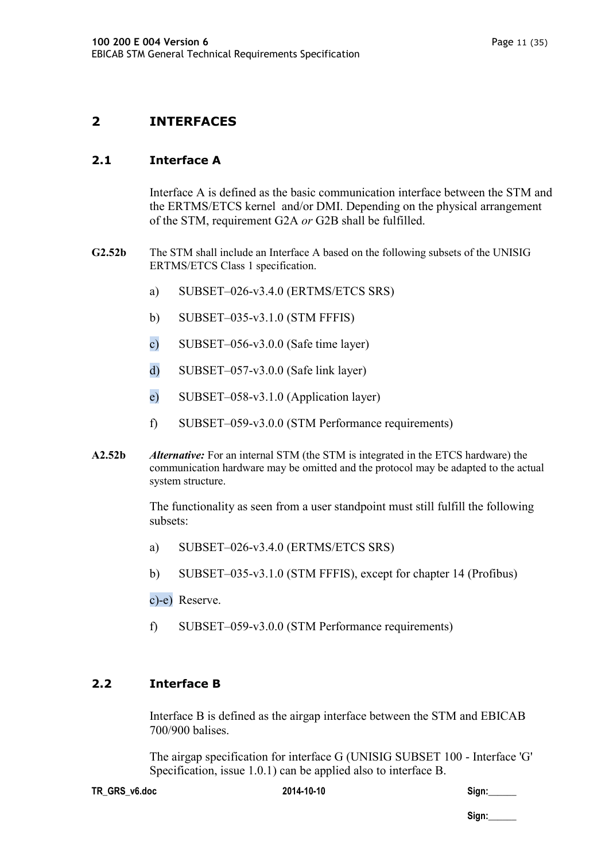# **2 INTERFACES**

# **2.1 Interface A**

Interface A is defined as the basic communication interface between the STM and the ERTMS/ETCS kernel and/or DMI. Depending on the physical arrangement of the STM, requirement G2A *or* G2B shall be fulfilled.

- **G2.52b** The STM shall include an Interface A based on the following subsets of the UNISIG ERTMS/ETCS Class 1 specification.
	- a) SUBSET–026-v3.4.0 (ERTMS/ETCS SRS)
	- b) SUBSET–035-v3.1.0 (STM FFFIS)
	- c) SUBSET–056-v3.0.0 (Safe time layer)
	- d) SUBSET–057-v3.0.0 (Safe link layer)
	- e) SUBSET–058-v3.1.0 (Application layer)
	- f) SUBSET–059-v3.0.0 (STM Performance requirements)
- **A2.52b** *Alternative:* For an internal STM (the STM is integrated in the ETCS hardware) the communication hardware may be omitted and the protocol may be adapted to the actual system structure.

The functionality as seen from a user standpoint must still fulfill the following subsets:

- a) SUBSET–026-v3.4.0 (ERTMS/ETCS SRS)
- b) SUBSET–035-v3.1.0 (STM FFFIS), except for chapter 14 (Profibus)

c)-e) Reserve.

f) SUBSET–059-v3.0.0 (STM Performance requirements)

## **2.2 Interface B**

Interface B is defined as the airgap interface between the STM and EBICAB 700/900 balises.

The airgap specification for interface G (UNISIG SUBSET 100 - Interface 'G' Specification, issue 1.0.1) can be applied also to interface B.

**TR\_GRS\_v6.doc 2014-10-10 Sign:\_\_\_\_\_\_**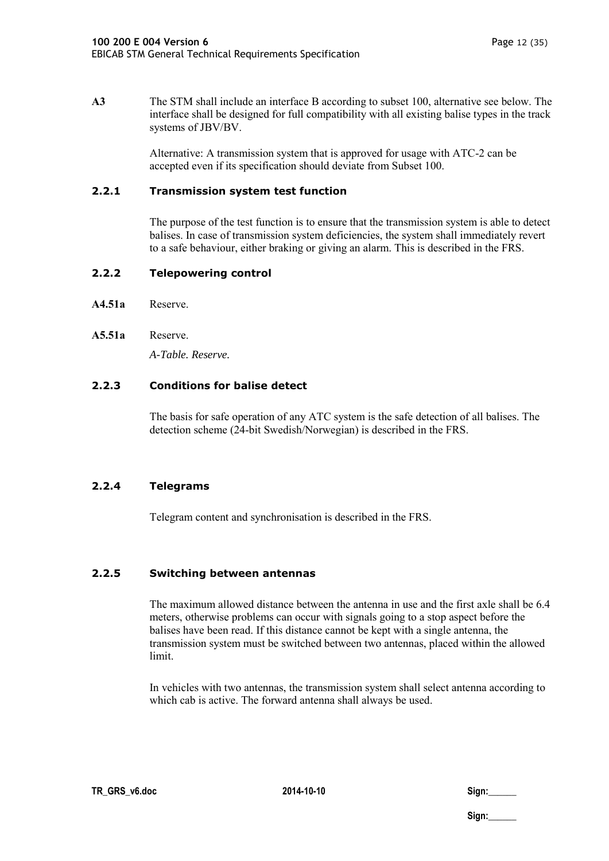- 
- **A3** The STM shall include an interface B according to subset 100, alternative see below. The interface shall be designed for full compatibility with all existing balise types in the track systems of JBV/BV.

Alternative: A transmission system that is approved for usage with ATC-2 can be accepted even if its specification should deviate from Subset 100.

#### **2.2.1 Transmission system test function**

The purpose of the test function is to ensure that the transmission system is able to detect balises. In case of transmission system deficiencies, the system shall immediately revert to a safe behaviour, either braking or giving an alarm. This is described in the FRS.

#### **2.2.2 Telepowering control**

- **A4.51a** Reserve.
- **A5.51a** Reserve.

*A-Table. Reserve.*

#### **2.2.3 Conditions for balise detect**

The basis for safe operation of any ATC system is the safe detection of all balises. The detection scheme (24-bit Swedish/Norwegian) is described in the FRS.

#### **2.2.4 Telegrams**

Telegram content and synchronisation is described in the FRS.

#### **2.2.5 Switching between antennas**

The maximum allowed distance between the antenna in use and the first axle shall be 6.4 meters, otherwise problems can occur with signals going to a stop aspect before the balises have been read. If this distance cannot be kept with a single antenna, the transmission system must be switched between two antennas, placed within the allowed limit.

In vehicles with two antennas, the transmission system shall select antenna according to which cab is active. The forward antenna shall always be used.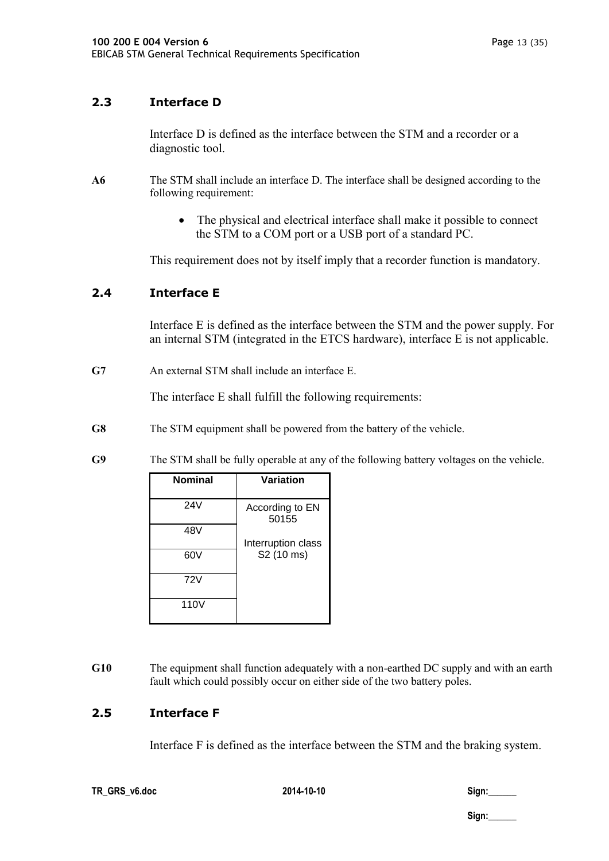## **2.3 Interface D**

Interface D is defined as the interface between the STM and a recorder or a diagnostic tool.

- **A6** The STM shall include an interface D. The interface shall be designed according to the following requirement:
	- The physical and electrical interface shall make it possible to connect the STM to a COM port or a USB port of a standard PC.

This requirement does not by itself imply that a recorder function is mandatory.

# **2.4 Interface E**

Interface E is defined as the interface between the STM and the power supply. For an internal STM (integrated in the ETCS hardware), interface E is not applicable.

**G7** An external STM shall include an interface E.

The interface E shall fulfill the following requirements:

- **G8** The STM equipment shall be powered from the battery of the vehicle.
- **G9** The STM shall be fully operable at any of the following battery voltages on the vehicle.

| <b>Nominal</b> | <b>Variation</b>         |
|----------------|--------------------------|
| 24V            | According to EN<br>50155 |
| 48V            |                          |
|                | Interruption class       |
| 60V            | S2 (10 ms)               |
| 72V            |                          |
| 110V           |                          |

**G10** The equipment shall function adequately with a non-earthed DC supply and with an earth fault which could possibly occur on either side of the two battery poles.

## **2.5 Interface F**

Interface F is defined as the interface between the STM and the braking system.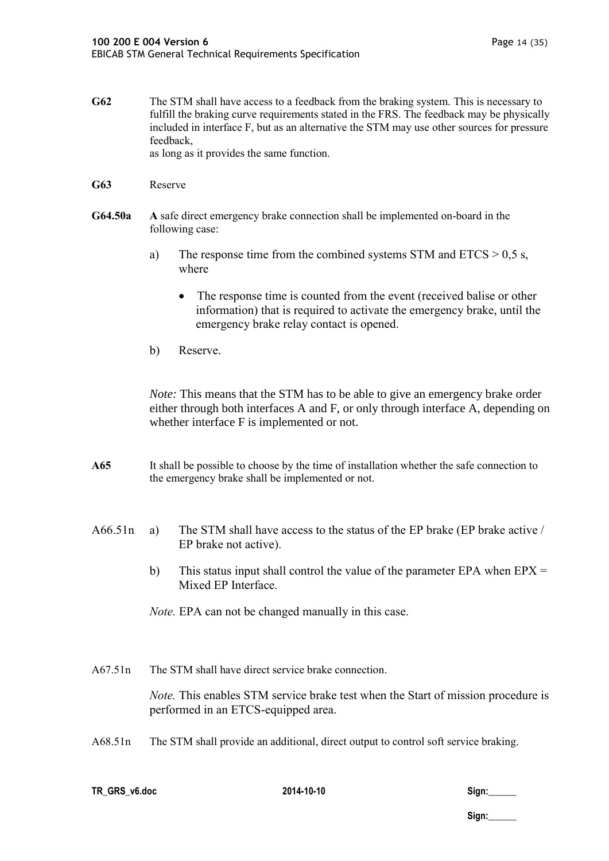- **G62** The STM shall have access to a feedback from the braking system. This is necessary to fulfill the braking curve requirements stated in the FRS. The feedback may be physically included in interface F, but as an alternative the STM may use other sources for pressure feedback, as long as it provides the same function.
- **G63** Reserve
- **G64.50a A** safe direct emergency brake connection shall be implemented on-board in the following case:
	- a) The response time from the combined systems STM and ETCS  $> 0.5$  s, where
		- The response time is counted from the event (received balise or other information) that is required to activate the emergency brake, until the emergency brake relay contact is opened.
	- b) Reserve.

*Note:* This means that the STM has to be able to give an emergency brake order either through both interfaces A and F, or only through interface A, depending on whether interface F is implemented or not.

- **A65** It shall be possible to choose by the time of installation whether the safe connection to the emergency brake shall be implemented or not.
- A66.51n a) The STM shall have access to the status of the EP brake (EP brake active / EP brake not active).
	- b) This status input shall control the value of the parameter EPA when  $EPX =$ Mixed EP Interface.

*Note.* EPA can not be changed manually in this case.

A67.51n The STM shall have direct service brake connection.

*Note.* This enables STM service brake test when the Start of mission procedure is performed in an ETCS-equipped area.

A68.51n The STM shall provide an additional, direct output to control soft service braking.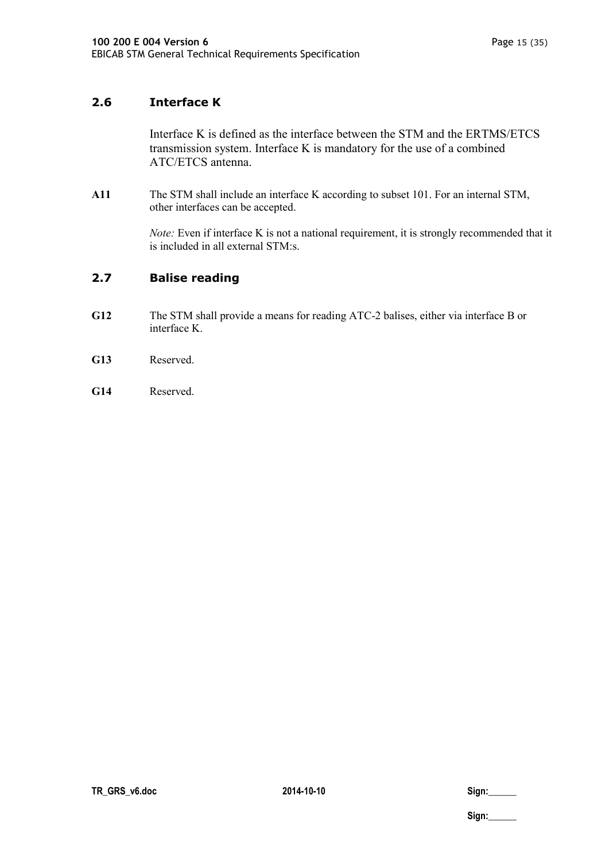## **2.6 Interface K**

Interface K is defined as the interface between the STM and the ERTMS/ETCS transmission system. Interface K is mandatory for the use of a combined ATC/ETCS antenna.

**A11** The STM shall include an interface K according to subset 101. For an internal STM, other interfaces can be accepted.

> *Note:* Even if interface K is not a national requirement, it is strongly recommended that it is included in all external STM:s.

# **2.7 Balise reading**

- **G12** The STM shall provide a means for reading ATC-2 balises, either via interface B or interface K.
- **G13** Reserved.
- **G14** Reserved.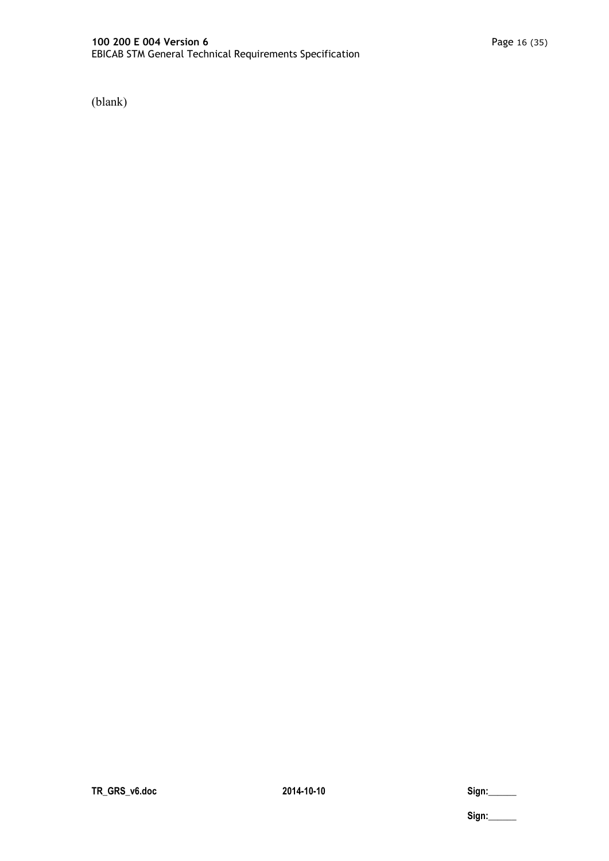(blank)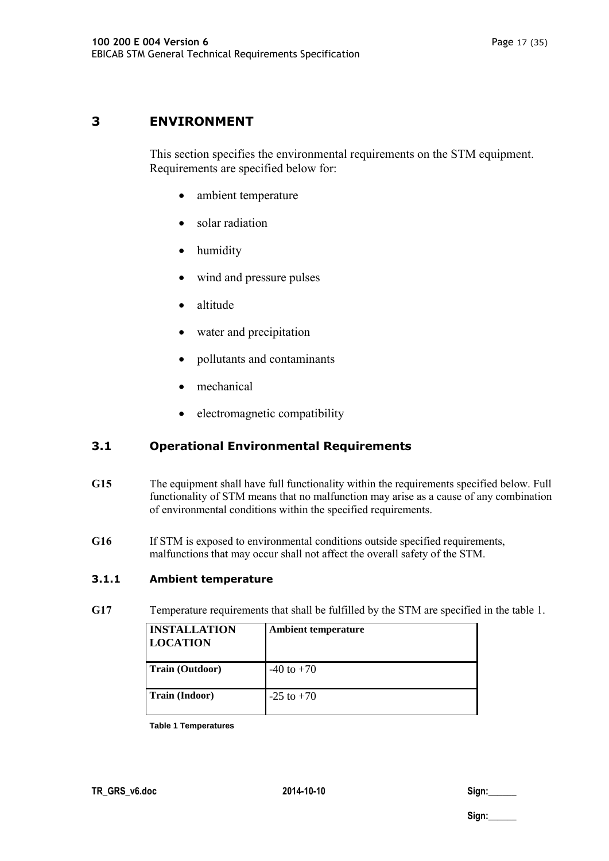# **3 ENVIRONMENT**

This section specifies the environmental requirements on the STM equipment. Requirements are specified below for:

- ambient temperature
- solar radiation
- humidity
- wind and pressure pulses
- altitude
- water and precipitation
- pollutants and contaminants
- mechanical
- electromagnetic compatibility

## **3.1 Operational Environmental Requirements**

- **G15** The equipment shall have full functionality within the requirements specified below. Full functionality of STM means that no malfunction may arise as a cause of any combination of environmental conditions within the specified requirements.
- **G16** If STM is exposed to environmental conditions outside specified requirements, malfunctions that may occur shall not affect the overall safety of the STM.

#### **3.1.1 Ambient temperature**

**G17** Temperature requirements that shall be fulfilled by the STM are specified in the table 1.

| <b>INSTALLATION</b><br><b>LOCATION</b> | <b>Ambient temperature</b> |
|----------------------------------------|----------------------------|
| <b>Train (Outdoor)</b>                 | $-40$ to $+70$             |
| <b>Train (Indoor)</b>                  | $-25$ to $+70$             |

**Table 1 Temperatures**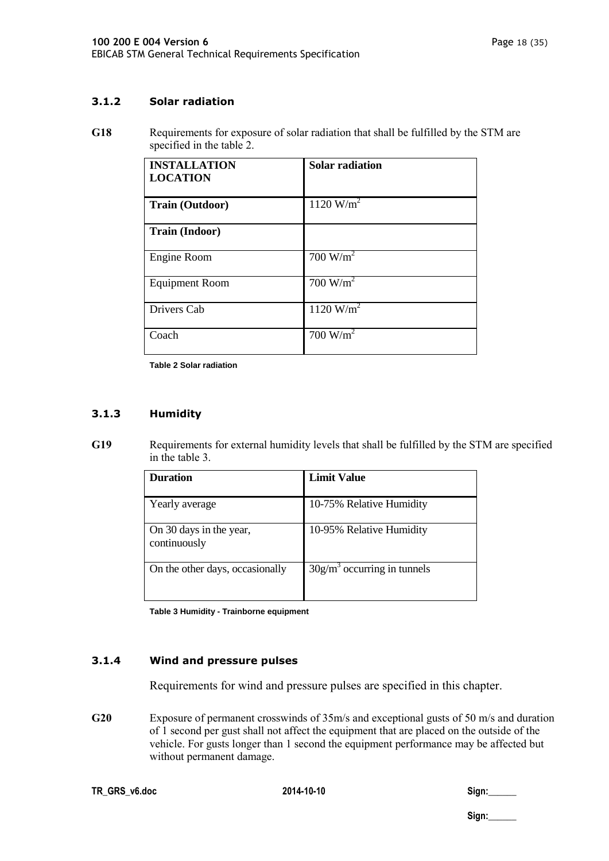#### **3.1.2 Solar radiation**

**G18** Requirements for exposure of solar radiation that shall be fulfilled by the STM are specified in the table 2.

| <b>INSTALLATION</b><br><b>LOCATION</b> | <b>Solar radiation</b>  |
|----------------------------------------|-------------------------|
| <b>Train (Outdoor)</b>                 | 1120 $W/m^2$            |
| <b>Train (Indoor)</b>                  |                         |
| Engine Room                            | $700 \text{ W/m}^2$     |
| <b>Equipment Room</b>                  | $700$ W/m <sup>2</sup>  |
| Drivers Cab                            | $1120$ W/m <sup>2</sup> |
| Coach                                  | $700$ W/m <sup>2</sup>  |

**Table 2 Solar radiation**

#### **3.1.3 Humidity**

**G19** Requirements for external humidity levels that shall be fulfilled by the STM are specified in the table 3.

| <b>Duration</b>                         | <b>Limit Value</b>            |
|-----------------------------------------|-------------------------------|
| Yearly average                          | 10-75% Relative Humidity      |
| On 30 days in the year,<br>continuously | 10-95% Relative Humidity      |
| On the other days, occasionally         | $30g/m3$ occurring in tunnels |

**Table 3 Humidity - Trainborne equipment**

#### **3.1.4 Wind and pressure pulses**

Requirements for wind and pressure pulses are specified in this chapter.

**G20** Exposure of permanent crosswinds of 35m/s and exceptional gusts of 50 m/s and duration of 1 second per gust shall not affect the equipment that are placed on the outside of the vehicle. For gusts longer than 1 second the equipment performance may be affected but without permanent damage.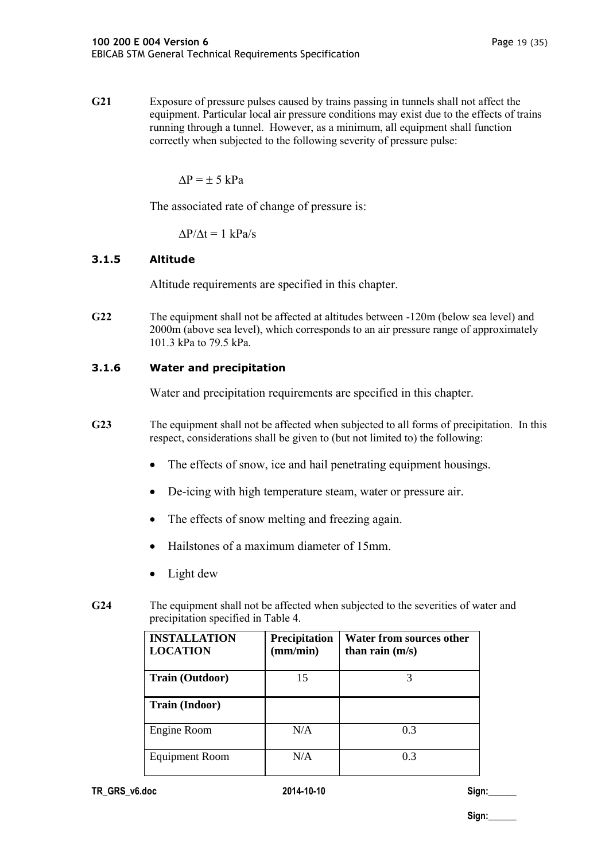**G21** Exposure of pressure pulses caused by trains passing in tunnels shall not affect the equipment. Particular local air pressure conditions may exist due to the effects of trains running through a tunnel. However, as a minimum, all equipment shall function correctly when subjected to the following severity of pressure pulse:

 $\Delta P = \pm 5$  kPa

The associated rate of change of pressure is:

 $AP/\Delta t = 1$  kPa/s

#### **3.1.5 Altitude**

Altitude requirements are specified in this chapter.

**G22** The equipment shall not be affected at altitudes between -120m (below sea level) and 2000m (above sea level), which corresponds to an air pressure range of approximately 101.3 kPa to 79.5 kPa.

#### **3.1.6 Water and precipitation**

Water and precipitation requirements are specified in this chapter.

- **G23** The equipment shall not be affected when subjected to all forms of precipitation. In this respect, considerations shall be given to (but not limited to) the following:
	- The effects of snow, ice and hail penetrating equipment housings.
	- De-icing with high temperature steam, water or pressure air.
	- The effects of snow melting and freezing again.
	- Hailstones of a maximum diameter of 15mm.
	- Light dew
- **G24** The equipment shall not be affected when subjected to the severities of water and precipitation specified in Table 4.

| <b>INSTALLATION</b><br><b>LOCATION</b> | Precipitation<br>(mm/min) | <b>Water from sources other</b><br>than rain $(m/s)$ |
|----------------------------------------|---------------------------|------------------------------------------------------|
| <b>Train (Outdoor)</b>                 | 15                        |                                                      |
| <b>Train (Indoor)</b>                  |                           |                                                      |
| Engine Room                            | N/A                       | 0.3                                                  |
| <b>Equipment Room</b>                  | N/A                       | 03                                                   |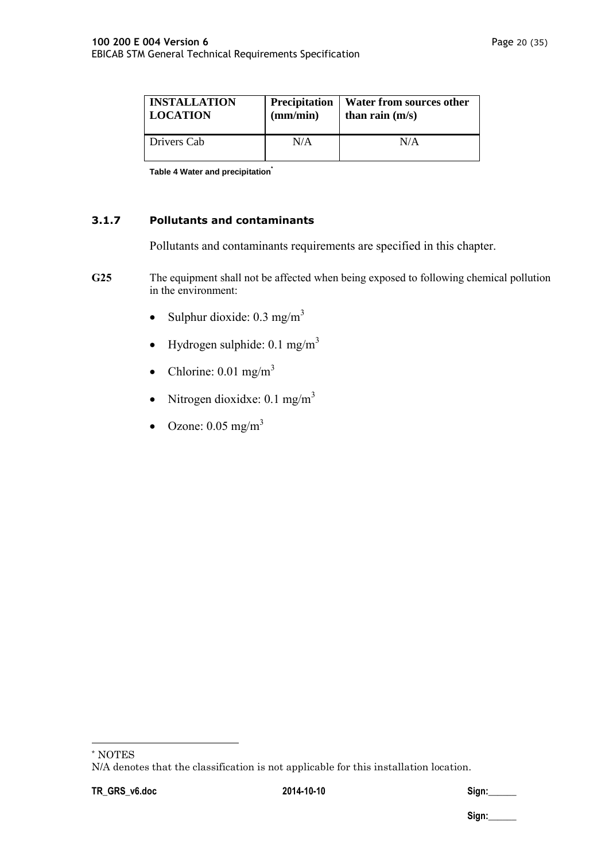| <b>INSTALLATION</b> | <b>Precipitation</b> | Water from sources other |
|---------------------|----------------------|--------------------------|
| <b>LOCATION</b>     | (mm/min)             | than rain $(m/s)$        |
| Drivers Cab         | N/A                  | N/A                      |

**Table 4 Water and precipitation\***

#### **3.1.7 Pollutants and contaminants**

Pollutants and contaminants requirements are specified in this chapter.

- **G25** The equipment shall not be affected when being exposed to following chemical pollution in the environment:
	- Sulphur dioxide:  $0.3 \text{ mg/m}^3$
	- Hydrogen sulphide:  $0.1 \text{ mg/m}^3$
	- Chlorine:  $0.01$  mg/m<sup>3</sup>
	- Nitrogen dioxidxe:  $0.1 \text{ mg/m}^3$
	- Ozone:  $0.05$  mg/m<sup>3</sup>

1

<sup>\*</sup> NOTES

N/A denotes that the classification is not applicable for this installation location.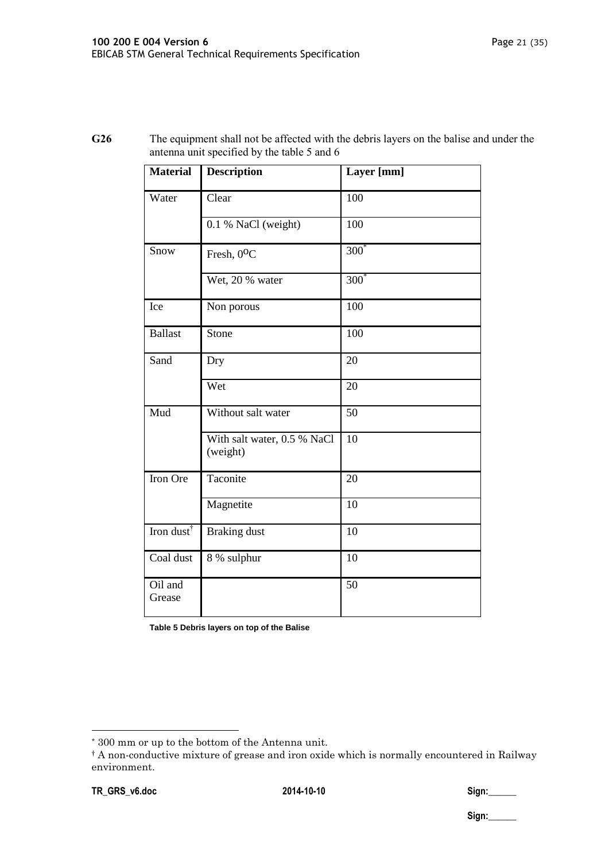| <b>Material</b>        | <b>Description</b>                      | Layer [mm] |
|------------------------|-----------------------------------------|------------|
| Water                  | Clear                                   | 100        |
|                        | 0.1 % NaCl (weight)                     | 100        |
| Snow                   | Fresh, 0°C                              | $300^*$    |
|                        | Wet, 20 % water                         | $300^*$    |
| Ice                    | Non porous                              | 100        |
| <b>Ballast</b>         | Stone                                   | 100        |
| Sand                   | Dry                                     | 20         |
|                        | Wet                                     | 20         |
| Mud                    | Without salt water                      | 50         |
|                        | With salt water, 0.5 % NaCl<br>(weight) | 10         |
| Iron Ore               | Taconite                                | 20         |
|                        | Magnetite                               | 10         |
| Iron dust <sup>†</sup> | <b>Braking</b> dust                     | 10         |
| Coal dust              | 8 % sulphur                             | 10         |
| Oil and<br>Grease      |                                         | 50         |

**G26** The equipment shall not be affected with the debris layers on the balise and under the antenna unit specified by the table 5 and 6

**Table 5 Debris layers on top of the Balise** 

1

<sup>\*</sup> 300 mm or up to the bottom of the Antenna unit.

<sup>†</sup> A non-conductive mixture of grease and iron oxide which is normally encountered in Railway environment.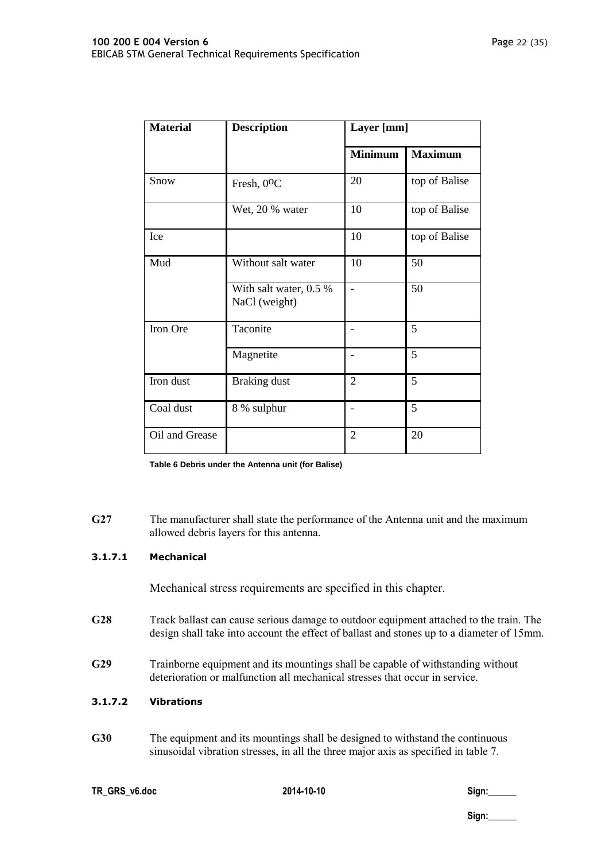| <b>Material</b> | <b>Description</b>                      | Layer [mm]     |                |
|-----------------|-----------------------------------------|----------------|----------------|
|                 |                                         | <b>Minimum</b> | <b>Maximum</b> |
| Snow            | Fresh, 0°C                              | 20             | top of Balise  |
|                 | Wet, 20 % water                         | 10             | top of Balise  |
| Ice             |                                         | 10             | top of Balise  |
| Mud             | Without salt water                      | 10             | 50             |
|                 | With salt water, 0.5 %<br>NaCl (weight) |                | 50             |
| Iron Ore        | Taconite                                |                | 5              |
|                 | Magnetite                               |                | 5              |
| Iron dust       | <b>Braking dust</b>                     | $\overline{2}$ | 5              |
| Coal dust       | 8 % sulphur                             |                | 5              |
| Oil and Grease  |                                         | $\overline{2}$ | 20             |

**Table 6 Debris under the Antenna unit (for Balise)**

**G27** The manufacturer shall state the performance of the Antenna unit and the maximum allowed debris layers for this antenna.

#### **3.1.7.1 Mechanical**

Mechanical stress requirements are specified in this chapter.

- **G28** Track ballast can cause serious damage to outdoor equipment attached to the train. The design shall take into account the effect of ballast and stones up to a diameter of 15mm.
- **G29** Trainborne equipment and its mountings shall be capable of withstanding without deterioration or malfunction all mechanical stresses that occur in service.

## **3.1.7.2 Vibrations**

**G30** The equipment and its mountings shall be designed to withstand the continuous sinusoidal vibration stresses, in all the three major axis as specified in table 7.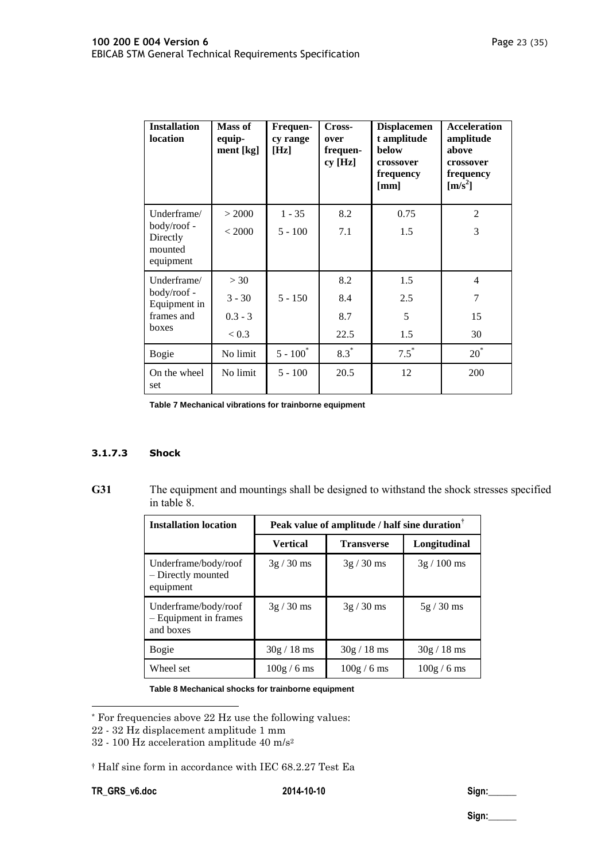| <b>Installation</b><br><b>location</b> | <b>Mass of</b><br>equip-<br>ment [kg] | Frequen-<br>cy range<br>[Hz] | Cross-<br>over<br>frequen-<br>cy [Hz] | <b>Displacemen</b><br>t amplitude<br>below<br>crossover<br>frequency<br>[mm] | <b>Acceleration</b><br>amplitude<br>above<br>crossover<br>frequency<br>$\left[\text{m/s}^2\right]$ |
|----------------------------------------|---------------------------------------|------------------------------|---------------------------------------|------------------------------------------------------------------------------|----------------------------------------------------------------------------------------------------|
| Underframe/                            | > 2000                                | $1 - 35$                     | 8.2                                   | 0.75                                                                         | $\overline{2}$                                                                                     |
| body/roof -<br>Directly                | ${}<$ 2000                            | $5 - 100$                    | 7.1                                   | 1.5                                                                          | 3                                                                                                  |
| mounted<br>equipment                   |                                       |                              |                                       |                                                                              |                                                                                                    |
| Underframe/                            | >30                                   |                              | 8.2                                   | 1.5                                                                          | $\overline{4}$                                                                                     |
| body/roof -<br>Equipment in            | $3 - 30$                              | $5 - 150$                    | 8.4                                   | 2.5                                                                          | 7                                                                                                  |
| frames and                             | $0.3 - 3$                             |                              | 8.7                                   | 5                                                                            | 15                                                                                                 |
| boxes                                  | < 0.3                                 |                              | 22.5                                  | 1.5                                                                          | 30                                                                                                 |
| Bogie                                  | No limit                              | $5 - 100^*$                  | $8.3*$                                | $7.5^*$                                                                      | $20^*$                                                                                             |
| On the wheel<br>set                    | No limit                              | $5 - 100$                    | 20.5                                  | 12                                                                           | 200                                                                                                |

**Table 7 Mechanical vibrations for trainborne equipment**

#### **3.1.7.3 Shock**

**G31** The equipment and mountings shall be designed to withstand the shock stresses specified in table 8.

| <b>Installation location</b>                               | Peak value of amplitude / half sine duration <sup>†</sup> |                   |               |
|------------------------------------------------------------|-----------------------------------------------------------|-------------------|---------------|
|                                                            | <b>Vertical</b>                                           | <b>Transverse</b> | Longitudinal  |
| Underframe/body/roof<br>- Directly mounted<br>equipment    | $3g/30$ ms                                                | $3g/30$ ms        | $3g / 100$ ms |
| Underframe/body/roof<br>- Equipment in frames<br>and boxes | $3g/30$ ms                                                | $3g/30$ ms        | $5g/30$ ms    |
| Bogie                                                      | $30g/18$ ms                                               | $30g/18$ ms       | $30g / 18$ ms |
| Wheel set                                                  | $100g / 6$ ms                                             | $100g / 6$ ms     | $100g/6$ ms   |

**Table 8 Mechanical shocks for trainborne equipment**

1

<sup>\*</sup> For frequencies above 22 Hz use the following values:

<sup>22 -</sup> 32 Hz displacement amplitude 1 mm

<sup>32 -</sup> 100 Hz acceleration amplitude 40 m/s<sup>2</sup>

<sup>†</sup> Half sine form in accordance with IEC 68.2.27 Test Ea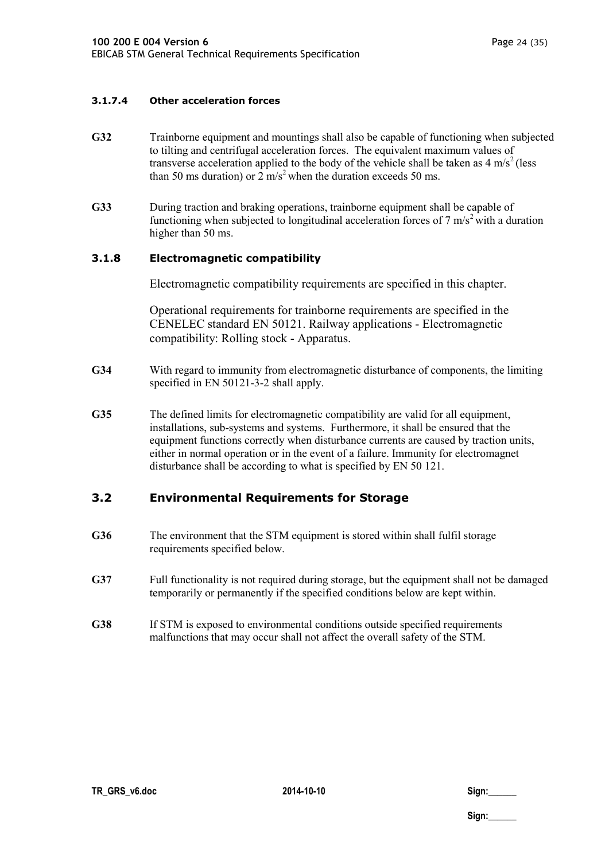#### **3.1.7.4 Other acceleration forces**

- **G32** Trainborne equipment and mountings shall also be capable of functioning when subjected to tilting and centrifugal acceleration forces. The equivalent maximum values of transverse acceleration applied to the body of the vehicle shall be taken as  $4 \text{ m/s}^2$  (less than 50 ms duration) or 2 m/s<sup>2</sup> when the duration exceeds 50 ms.
- **G33** During traction and braking operations, trainborne equipment shall be capable of functioning when subjected to longitudinal acceleration forces of  $7 \text{ m/s}^2$  with a duration higher than 50 ms.

#### **3.1.8 Electromagnetic compatibility**

Electromagnetic compatibility requirements are specified in this chapter.

Operational requirements for trainborne requirements are specified in the CENELEC standard EN 50121. Railway applications - Electromagnetic compatibility: Rolling stock - Apparatus.

- **G34** With regard to immunity from electromagnetic disturbance of components, the limiting specified in EN 50121-3-2 shall apply.
- **G35** The defined limits for electromagnetic compatibility are valid for all equipment, installations, sub-systems and systems. Furthermore, it shall be ensured that the equipment functions correctly when disturbance currents are caused by traction units, either in normal operation or in the event of a failure. Immunity for electromagnet disturbance shall be according to what is specified by EN 50 121.

## **3.2 Environmental Requirements for Storage**

- **G36** The environment that the STM equipment is stored within shall fulfil storage requirements specified below.
- **G37** Full functionality is not required during storage, but the equipment shall not be damaged temporarily or permanently if the specified conditions below are kept within.
- **G38** If STM is exposed to environmental conditions outside specified requirements malfunctions that may occur shall not affect the overall safety of the STM.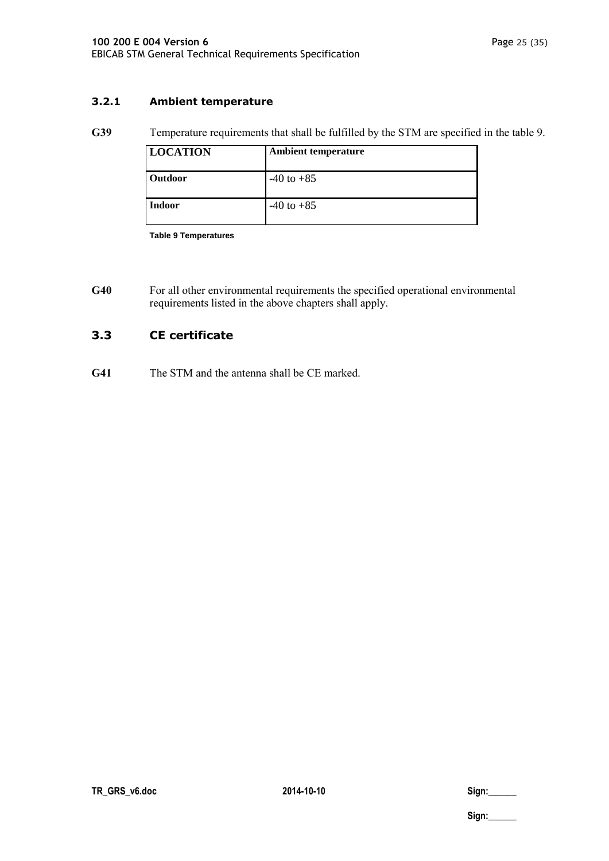# **3.2.1 Ambient temperature**

**G39** Temperature requirements that shall be fulfilled by the STM are specified in the table 9.

| <b>LOCATION</b> | <b>Ambient temperature</b> |
|-----------------|----------------------------|
| Outdoor         | $-40$ to $+85$             |
| Indoor          | $-40$ to $+85$             |

**Table 9 Temperatures**

**G40** For all other environmental requirements the specified operational environmental requirements listed in the above chapters shall apply.

## **3.3 CE certificate**

**G41** The STM and the antenna shall be CE marked.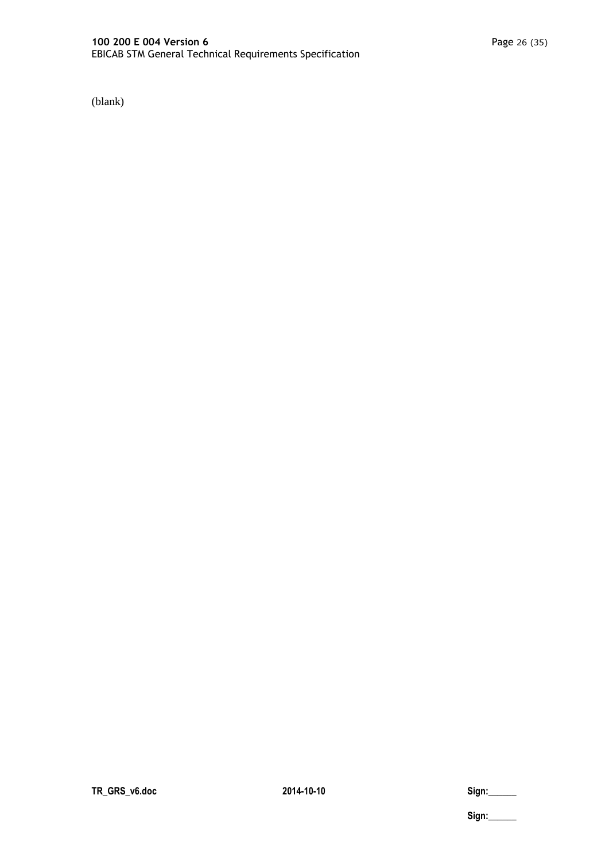(blank)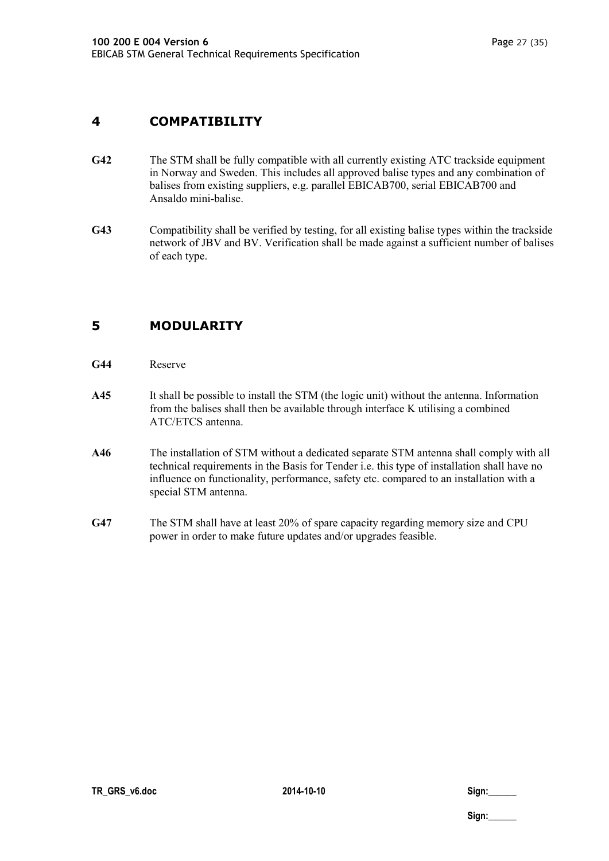## **4 COMPATIBILITY**

- **G42** The STM shall be fully compatible with all currently existing ATC trackside equipment in Norway and Sweden. This includes all approved balise types and any combination of balises from existing suppliers, e.g. parallel EBICAB700, serial EBICAB700 and Ansaldo mini-balise.
- **G43** Compatibility shall be verified by testing, for all existing balise types within the trackside network of JBV and BV. Verification shall be made against a sufficient number of balises of each type.

# **5 MODULARITY**

- **G44** Reserve
- **A45** It shall be possible to install the STM (the logic unit) without the antenna. Information from the balises shall then be available through interface K utilising a combined ATC/ETCS antenna.
- **A46** The installation of STM without a dedicated separate STM antenna shall comply with all technical requirements in the Basis for Tender i.e. this type of installation shall have no influence on functionality, performance, safety etc. compared to an installation with a special STM antenna.
- **G47** The STM shall have at least 20% of spare capacity regarding memory size and CPU power in order to make future updates and/or upgrades feasible.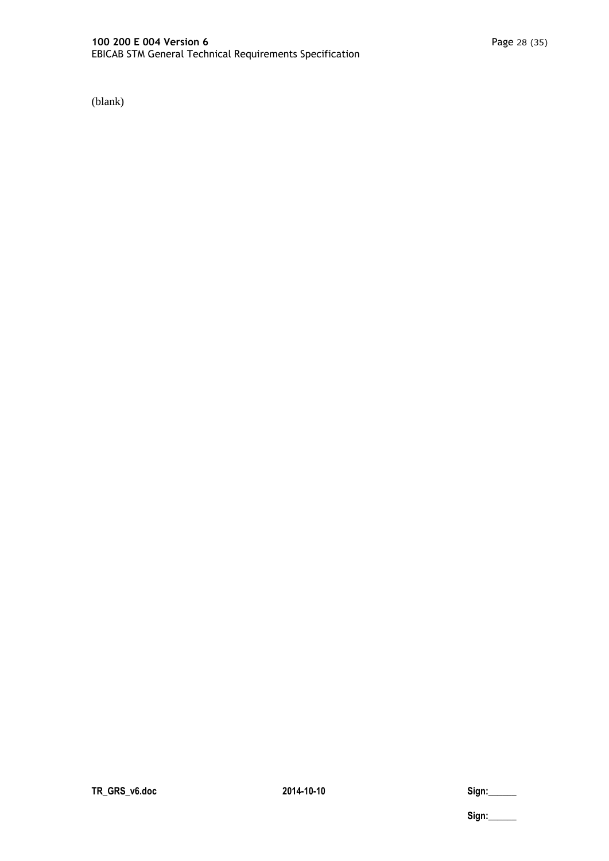(blank)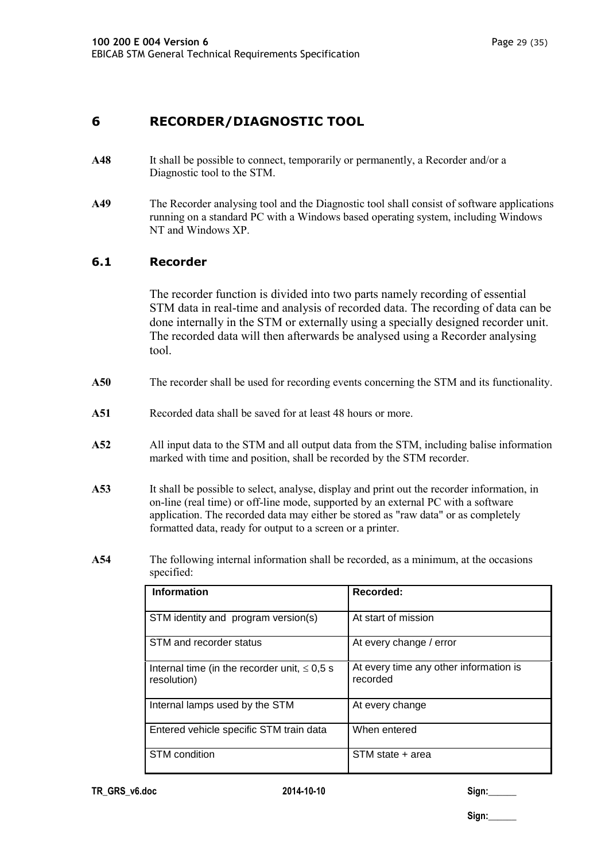# **6 RECORDER/DIAGNOSTIC TOOL**

- **A48** It shall be possible to connect, temporarily or permanently, a Recorder and/or a Diagnostic tool to the STM.
- **A49** The Recorder analysing tool and the Diagnostic tool shall consist of software applications running on a standard PC with a Windows based operating system, including Windows NT and Windows XP.

## **6.1 Recorder**

The recorder function is divided into two parts namely recording of essential STM data in real-time and analysis of recorded data. The recording of data can be done internally in the STM or externally using a specially designed recorder unit. The recorded data will then afterwards be analysed using a Recorder analysing tool.

- **A50** The recorder shall be used for recording events concerning the STM and its functionality.
- **A51** Recorded data shall be saved for at least 48 hours or more.
- **A52** All input data to the STM and all output data from the STM, including balise information marked with time and position, shall be recorded by the STM recorder.
- **A53** It shall be possible to select, analyse, display and print out the recorder information, in on-line (real time) or off-line mode, supported by an external PC with a software application. The recorded data may either be stored as "raw data" or as completely formatted data, ready for output to a screen or a printer.
- **A54** The following internal information shall be recorded, as a minimum, at the occasions specified:

| <b>Information</b>                                               | Recorded:                                          |
|------------------------------------------------------------------|----------------------------------------------------|
| STM identity and program version(s)                              | At start of mission                                |
| STM and recorder status                                          | At every change / error                            |
| Internal time (in the recorder unit, $\leq 0.5$ s<br>resolution) | At every time any other information is<br>recorded |
| Internal lamps used by the STM                                   | At every change                                    |
| Entered vehicle specific STM train data                          | When entered                                       |
| STM condition                                                    | STM state + area                                   |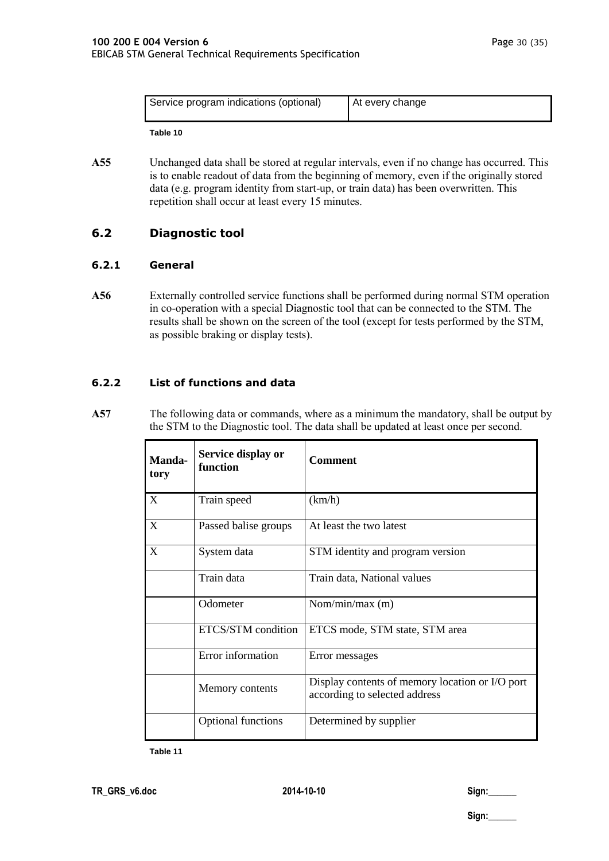| Service program indications (optional) | At every change |
|----------------------------------------|-----------------|
|----------------------------------------|-----------------|

**Table 10**

**A55** Unchanged data shall be stored at regular intervals, even if no change has occurred. This is to enable readout of data from the beginning of memory, even if the originally stored data (e.g. program identity from start-up, or train data) has been overwritten. This repetition shall occur at least every 15 minutes.

# **6.2 Diagnostic tool**

#### **6.2.1 General**

**A56** Externally controlled service functions shall be performed during normal STM operation in co-operation with a special Diagnostic tool that can be connected to the STM. The results shall be shown on the screen of the tool (except for tests performed by the STM, as possible braking or display tests).

#### **6.2.2 List of functions and data**

**A57** The following data or commands, where as a minimum the mandatory, shall be output by the STM to the Diagnostic tool. The data shall be updated at least once per second.

| Manda-<br>tory | Service display or<br>function | <b>Comment</b>                                                                   |
|----------------|--------------------------------|----------------------------------------------------------------------------------|
| X              | Train speed                    | (km/h)                                                                           |
| X              | Passed balise groups           | At least the two latest                                                          |
| X              | System data                    | STM identity and program version                                                 |
|                | Train data                     | Train data, National values                                                      |
|                | Odometer                       | Nom/min/max (m)                                                                  |
|                | ETCS/STM condition             | ETCS mode, STM state, STM area                                                   |
|                | Error information              | Error messages                                                                   |
|                | Memory contents                | Display contents of memory location or I/O port<br>according to selected address |
|                | <b>Optional functions</b>      | Determined by supplier                                                           |

**Table 11**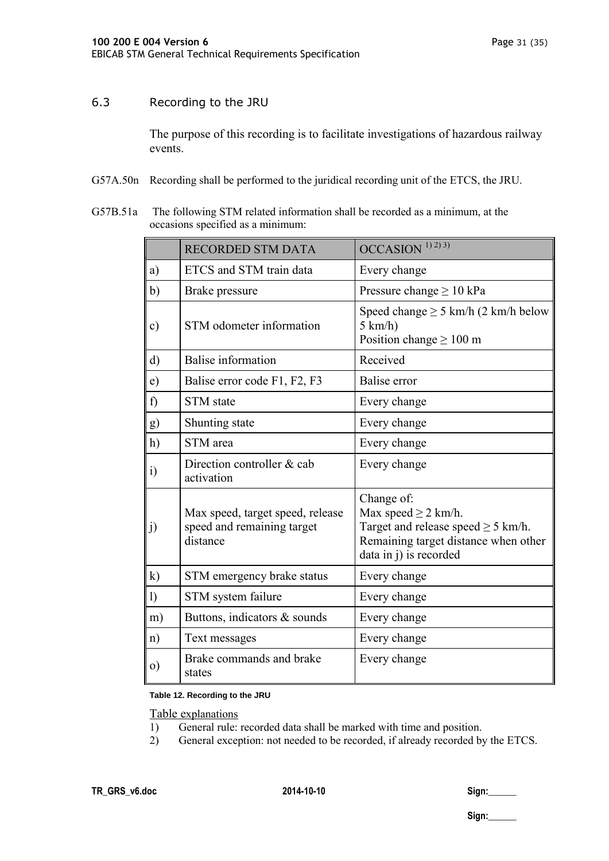### 6.3 Recording to the JRU

The purpose of this recording is to facilitate investigations of hazardous railway events.

- G57A.50n Recording shall be performed to the juridical recording unit of the ETCS, the JRU.
- G57B.51a The following STM related information shall be recorded as a minimum, at the occasions specified as a minimum:

|               | <b>RECORDED STM DATA</b>                                                   | OCCASION <sup>1)2)3)</sup>                                                                                                                          |
|---------------|----------------------------------------------------------------------------|-----------------------------------------------------------------------------------------------------------------------------------------------------|
| a)            | ETCS and STM train data                                                    | Every change                                                                                                                                        |
| b)            | Brake pressure                                                             | Pressure change $\geq 10$ kPa                                                                                                                       |
| $\mathbf{c})$ | STM odometer information                                                   | Speed change $\geq$ 5 km/h (2 km/h below<br>$5 \text{ km/h}$<br>Position change $\geq 100$ m                                                        |
| d)            | <b>Balise</b> information                                                  | Received                                                                                                                                            |
| e)            | Balise error code F1, F2, F3                                               | Balise error                                                                                                                                        |
| f)            | <b>STM</b> state                                                           | Every change                                                                                                                                        |
| g)            | Shunting state                                                             | Every change                                                                                                                                        |
| h)            | STM area                                                                   | Every change                                                                                                                                        |
| $\ddot{1}$    | Direction controller & cab<br>activation                                   | Every change                                                                                                                                        |
| j)            | Max speed, target speed, release<br>speed and remaining target<br>distance | Change of:<br>Max speed $\geq$ 2 km/h.<br>Target and release speed $\geq$ 5 km/h.<br>Remaining target distance when other<br>data in j) is recorded |
| $\bf k)$      | STM emergency brake status                                                 | Every change                                                                                                                                        |
| $\mathbf{I}$  | STM system failure                                                         | Every change                                                                                                                                        |
| m)            | Buttons, indicators & sounds                                               | Every change                                                                                                                                        |
| n)            | Text messages                                                              | Every change                                                                                                                                        |
| $\circ$ )     | Brake commands and brake<br>states                                         | Every change                                                                                                                                        |

#### **Table 12. Recording to the JRU**

Table explanations

- 1) General rule: recorded data shall be marked with time and position.
- 2) General exception: not needed to be recorded, if already recorded by the ETCS.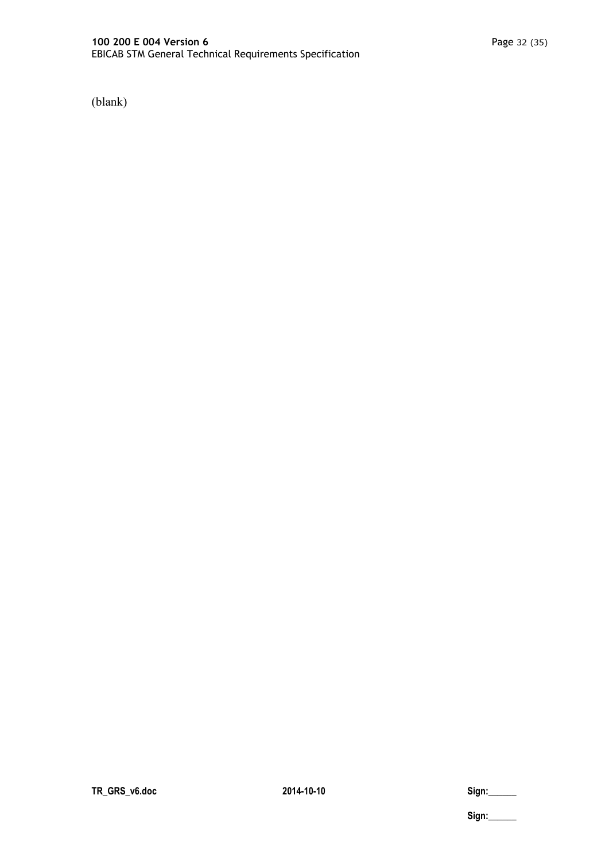(blank)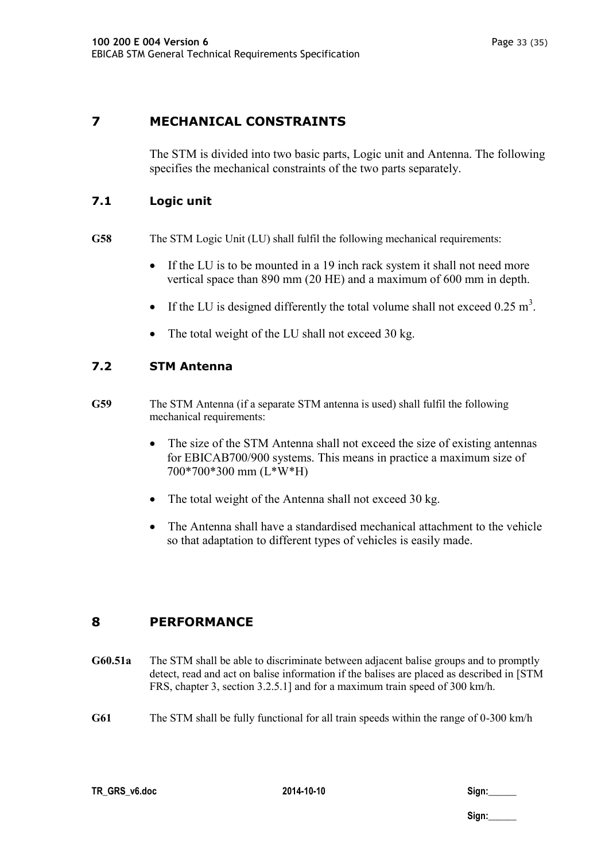# **7 MECHANICAL CONSTRAINTS**

The STM is divided into two basic parts, Logic unit and Antenna. The following specifies the mechanical constraints of the two parts separately.

# **7.1 Logic unit**

- **G58** The STM Logic Unit (LU) shall fulfil the following mechanical requirements:
	- If the LU is to be mounted in a 19 inch rack system it shall not need more vertical space than 890 mm (20 HE) and a maximum of 600 mm in depth.
	- If the LU is designed differently the total volume shall not exceed  $0.25 \text{ m}^3$ .
	- The total weight of the LU shall not exceed 30 kg.

# **7.2 STM Antenna**

- **G59** The STM Antenna (if a separate STM antenna is used) shall fulfil the following mechanical requirements:
	- The size of the STM Antenna shall not exceed the size of existing antennas for EBICAB700/900 systems. This means in practice a maximum size of 700\*700\*300 mm (L\*W\*H)
	- The total weight of the Antenna shall not exceed 30 kg.
	- The Antenna shall have a standardised mechanical attachment to the vehicle so that adaptation to different types of vehicles is easily made.

# **8 PERFORMANCE**

- **G60.51a** The STM shall be able to discriminate between adjacent balise groups and to promptly detect, read and act on balise information if the balises are placed as described in [STM FRS, chapter 3, section 3.2.5.1] and for a maximum train speed of 300 km/h.
- **G61** The STM shall be fully functional for all train speeds within the range of 0-300 km/h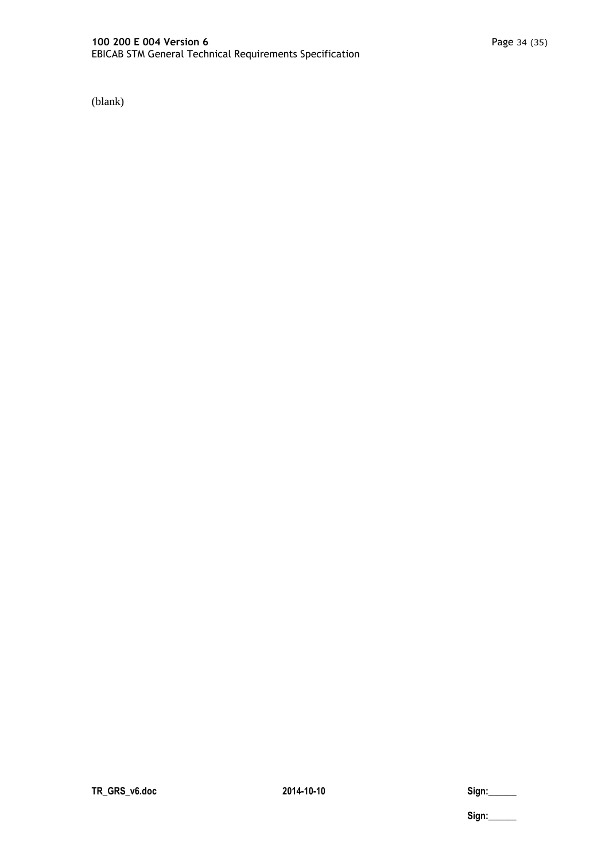(blank)